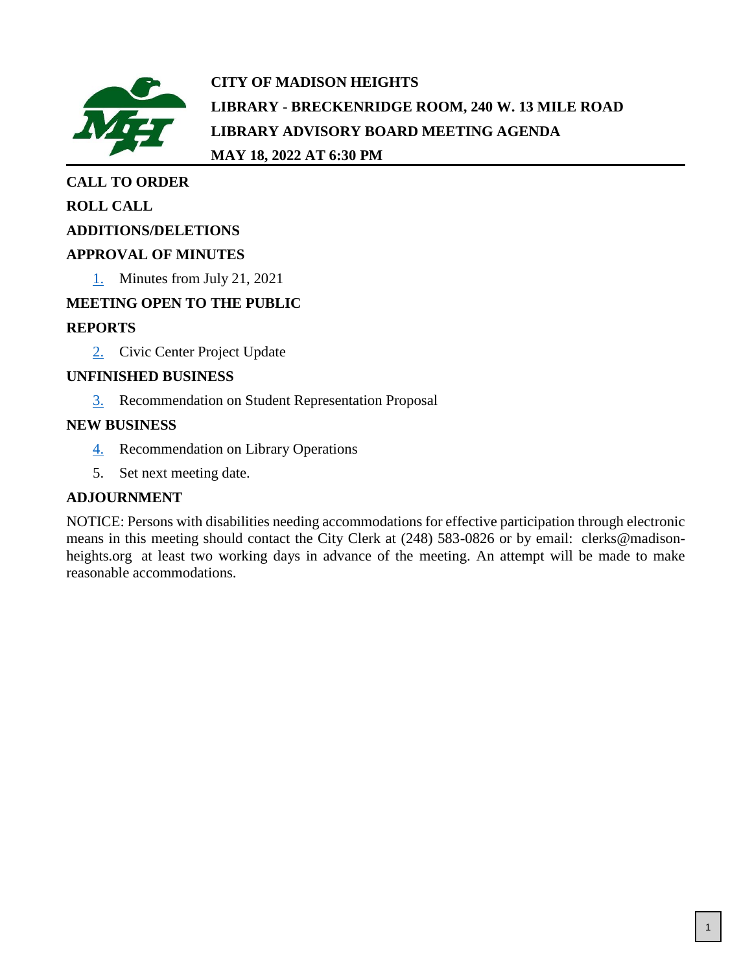

**CITY OF MADISON HEIGHTS LIBRARY - BRECKENRIDGE ROOM, 240 W. 13 MILE ROAD LIBRARY ADVISORY BOARD MEETING AGENDA MAY 18, 2022 AT 6:30 PM**

# **CALL TO ORDER**

# **ROLL CALL**

## **ADDITIONS/DELETIONS**

# **APPROVAL OF MINUTES**

[1.](#page-1-0) Minutes from July 21, 2021

# **MEETING OPEN TO THE PUBLIC**

# **REPORTS**

[2.](#page-3-0) Civic Center Project Update

## **UNFINISHED BUSINESS**

[3.](#page-4-0) Recommendation on Student Representation Proposal

## **NEW BUSINESS**

- [4.](#page-5-0) Recommendation on Library Operations
- 5. Set next meeting date.

# **ADJOURNMENT**

NOTICE: Persons with disabilities needing accommodations for effective participation through electronic means in this meeting should contact the City Clerk at (248) 583-0826 or by email: clerks@madisonheights.org at least two working days in advance of the meeting. An attempt will be made to make reasonable accommodations.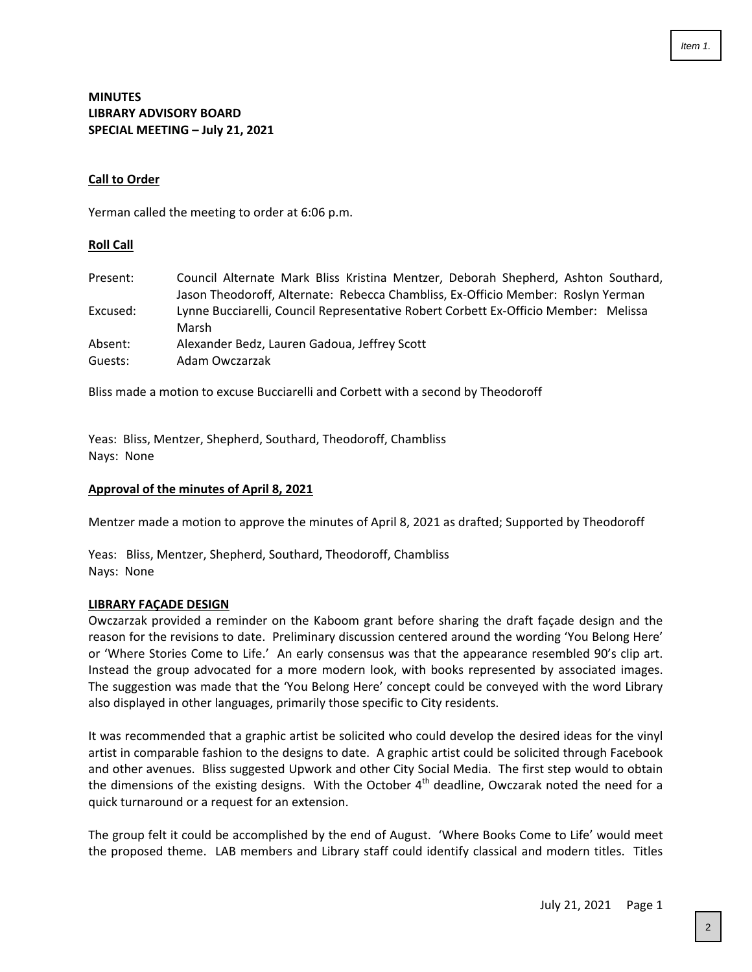#### <span id="page-1-0"></span>**MINUTES LIBRARY ADVISORY BOARD SPECIAL MEETING – July 21, 2021**

#### **Call to Order**

Yerman called the meeting to order at 6:06 p.m.

#### **Roll Call**

| Present: | Council Alternate Mark Bliss Kristina Mentzer, Deborah Shepherd, Ashton Southard,            |
|----------|----------------------------------------------------------------------------------------------|
|          | Jason Theodoroff, Alternate: Rebecca Chambliss, Ex-Officio Member: Roslyn Yerman             |
| Excused: | Lynne Bucciarelli, Council Representative Robert Corbett Ex-Officio Member: Melissa<br>Marsh |
| Absent:  | Alexander Bedz, Lauren Gadoua, Jeffrey Scott                                                 |
| Guests:  | Adam Owczarzak                                                                               |

Bliss made a motion to excuse Bucciarelli and Corbett with a second by Theodoroff

Yeas: Bliss, Mentzer, Shepherd, Southard, Theodoroff, Chambliss Nays: None

#### **Approval of the minutes of April 8, 2021**

Mentzer made a motion to approve the minutes of April 8, 2021 as drafted; Supported by Theodoroff

Yeas: Bliss, Mentzer, Shepherd, Southard, Theodoroff, Chambliss Nays: None

#### **LIBRARY FAÇADE DESIGN**

Owczarzak provided a reminder on the Kaboom grant before sharing the draft façade design and the reason for the revisions to date. Preliminary discussion centered around the wording 'You Belong Here' or 'Where Stories Come to Life.' An early consensus was that the appearance resembled 90's clip art. Instead the group advocated for a more modern look, with books represented by associated images. The suggestion was made that the 'You Belong Here' concept could be conveyed with the word Library also displayed in other languages, primarily those specific to City residents.

It was recommended that a graphic artist be solicited who could develop the desired ideas for the vinyl artist in comparable fashion to the designs to date. A graphic artist could be solicited through Facebook and other avenues. Bliss suggested Upwork and other City Social Media. The first step would to obtain the dimensions of the existing designs. With the October 4<sup>th</sup> deadline, Owczarak noted the need for a quick turnaround or a request for an extension.

The group felt it could be accomplished by the end of August. 'Where Books Come to Life' would meet the proposed theme. LAB members and Library staff could identify classical and modern titles. Titles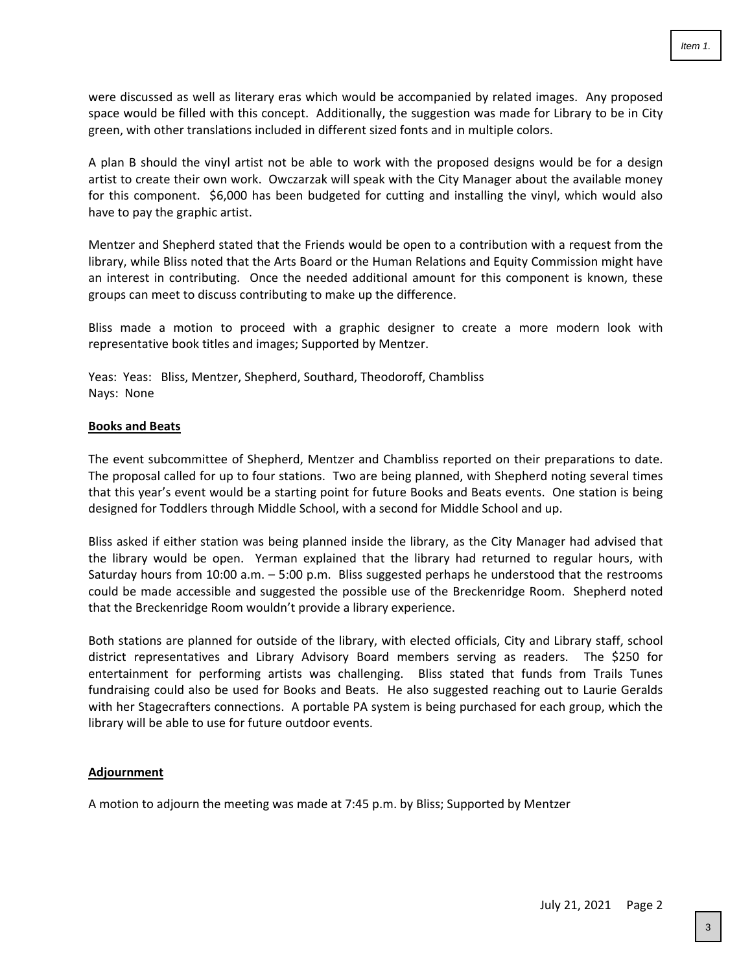were discussed as well as literary eras which would be accompanied by related images. Any proposed space would be filled with this concept. Additionally, the suggestion was made for Library to be in City green, with other translations included in different sized fonts and in multiple colors.

A plan B should the vinyl artist not be able to work with the proposed designs would be for a design artist to create their own work. Owczarzak will speak with the City Manager about the available money for this component. \$6,000 has been budgeted for cutting and installing the vinyl, which would also have to pay the graphic artist.

Mentzer and Shepherd stated that the Friends would be open to a contribution with a request from the library, while Bliss noted that the Arts Board or the Human Relations and Equity Commission might have an interest in contributing. Once the needed additional amount for this component is known, these groups can meet to discuss contributing to make up the difference.

Bliss made a motion to proceed with a graphic designer to create a more modern look with representative book titles and images; Supported by Mentzer.

Yeas: Yeas: Bliss, Mentzer, Shepherd, Southard, Theodoroff, Chambliss Nays: None

#### **Books and Beats**

The event subcommittee of Shepherd, Mentzer and Chambliss reported on their preparations to date. The proposal called for up to four stations. Two are being planned, with Shepherd noting several times that this year's event would be a starting point for future Books and Beats events. One station is being designed for Toddlers through Middle School, with a second for Middle School and up.

Bliss asked if either station was being planned inside the library, as the City Manager had advised that the library would be open. Yerman explained that the library had returned to regular hours, with Saturday hours from 10:00 a.m. – 5:00 p.m. Bliss suggested perhaps he understood that the restrooms could be made accessible and suggested the possible use of the Breckenridge Room. Shepherd noted that the Breckenridge Room wouldn't provide a library experience.

Both stations are planned for outside of the library, with elected officials, City and Library staff, school district representatives and Library Advisory Board members serving as readers. The \$250 for entertainment for performing artists was challenging. Bliss stated that funds from Trails Tunes fundraising could also be used for Books and Beats. He also suggested reaching out to Laurie Geralds with her Stagecrafters connections. A portable PA system is being purchased for each group, which the library will be able to use for future outdoor events.

#### **Adjournment**

A motion to adjourn the meeting was made at 7:45 p.m. by Bliss; Supported by Mentzer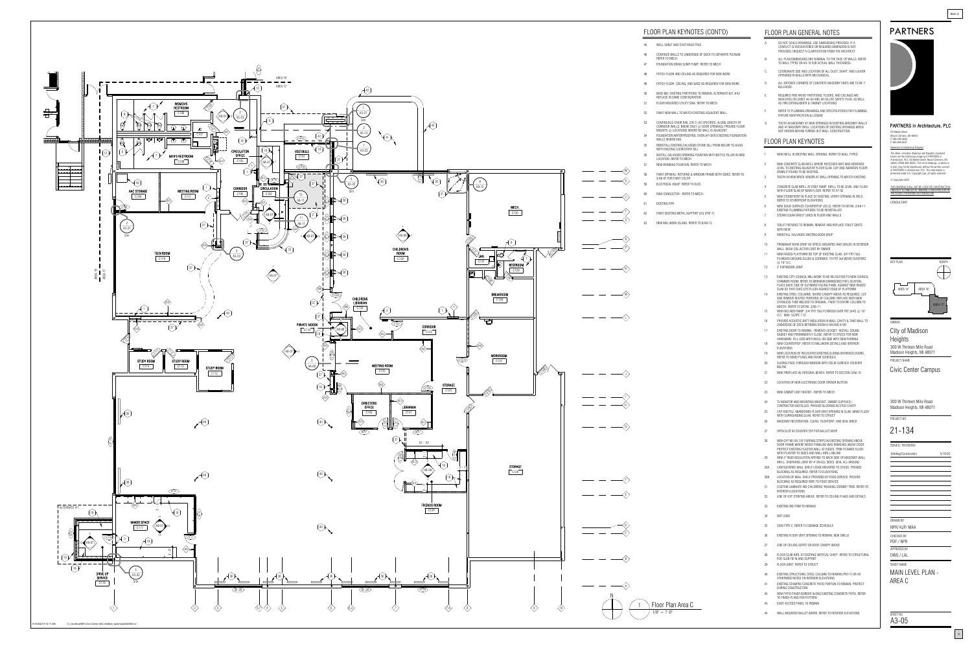| THIS DRAWING SHALL NOT BE USED FOR CONSTRUCTION |
|-------------------------------------------------|

- A. DO NOT SCALE DRAWINGS. USE DIMENSIONS PROVIDED. IF A CONFLICT IS ENCOUNTERED OR REQUIRED DIMENSION IS NOT PROVIDED, REQUEST A CLARIFICATION FROM THE ARCHITECT.
- B. ALL PLAN DIMENSIONS ARE NOMINAL TO THE FACE OF WALLS. REFER TO WALL TYPES ON A0-10 FOR ACTUAL WALL THICKNESS.
- C. COORDINATE SIZE AND LOCATION OF ALL DUCT, SHAFT, AND LOUVER OPENINGS IN WALLS WITH MECHANICAL.
- D. ALL EXPOSED CORNERS OF CONCRETE MASONRY UNITS ARE TO BE 1" BULLNOSE.
- REQUIRED FIRE RATED PARTITIONS, FLOORS, AND CEILINGS ARE INDICATED ON SHEET A0-04 AND A0-05 LIFE SAFETY PLAN, AS WELL AS FIRE EXTINGUISHER & CABINET LOCATIONS.
- F. REFER TO PLUMBING DRAWINGS AND SPECIFICATIONS FOR PLUMBING FIXTURE IDENTIFICATION & LEGEND
- G. TOOTH-IN MASONRY AT NEW OPENINGS IN EXISTING MASONRY WALLS AND AT MASONRY INFILL LOCATIONS OF EXISTING OPENINGS WHEN NOT HIDDEN BEHIND FURRED OUT WALL CONSTRUCTION.

# PARTNERS in Architecture, PLC

DRAWN BY

CHECKED BY

65 Market Street Mount Clemens, MI 48043

P 586.469.3600 F 586.469.3607

PROJECT NO.

OWNER

SHEET NAME

ISSUES / REVISIONS

Bidding/Construction

Statement of Intellectual Property The ideas, concepts, drawings and thoughts conveyed herein are the intellectual property of PARTNERS in Architecture, PLC, 65 Market Street, Mount Clemens, MI, 48043 (P586.469.3600). This set of drawings, in whole or in part, may not be reproduced, without the written consent of PARTNERS in Architecture, PLC. This information is protected under U.S. Copyright Law, all rights reserved.





APPROVED BY PDF / NPR

PROJECT NAME City of Madison Heights 300 W Thirteen Mile Road Madison Heights, MI 48071

UNLESS IT IS LABELED AS "BIDDING / CONSTRUCTION" IN

# PARTNERS

 $Item 2.$ 

Civic Center Campus

NPR/ KJP/ MAA

21-134

300 W Thirteen Mile Road Madison Heights, MI 48071

DWG / LAL

MAIN LEVEL PLAN - AREA C

SHEET NO.<br>A3-05

# FLOOR PLAN KEYNOTES

<span id="page-3-0"></span>

# FLOOR PLAN KEYNOTES (CONT'D)

- 1 NEW INFILL IN EXISTING WALL OPENING. REFER TO WALL TYPES.
- 2 NEW CONCRETE SLAB INFILL WHERE RECESSED MAT WAS REMOVED. LEVEL TO EXISTING ADJACENT FLOOR SLAB. CAP AND ABANDON FLOOR DRAIN IF FOUND TO BE EXISTING.
- 3 TOOTH-IN NEW BRICK VENEER AT WALL OPENING TO MATCH EXISTING
- 4 CONCRETE SLAB INFILL AT EXIST RAMP. INFILL TO BE LEVEL AND FLUSH WITH FLOOR SLAB OF MAIN FLOOR. REFER TO A7-02 NEW STOREFRONT IN PLACE OF EXISTING. VERIFY OPENING IN FIELD.
- REFER TO STOREFRONT ELEVATIONS
- 6 NEW SOLID SURFACE COUNTERTOP (SS-2). REFER TO DETAIL 2/A8-11. EXISTING PLUMBING FIXTURES TO BE REINSTALLED 7 STEAM CLEAN GROUT LINES IN FLOOR AND WALLS
- TOILET FIXTURES TO REMAIN, REMOVE AND REPLACE TOILET SEATS
- WITH NEW
- 9 REINSTALL SALVAGED EXISTING BOOK DROP
- 10 PREMANUF BOOK DROP AS SPECD. MOUNTED AND SEALED IN EXTERIOR WALL. BOOK COLLECTOR CART BY OWNER
- 11 NEW RAISED PLATFORM ON TOP OF EXISTING SLAB. 3/4" FRT T&G PLYWOOD DECKING GLUED & SCREWED TO FRT 2x4 WOOD SLEEPERS @ 16" O.C.
- 12 2" EXPANSION JOINT
- 13 EXISTING CITY COUNCIL MILLWORK TO BE RELOCATED TO NEW COUNCIL CHAMBER ROOM. REFER TO MINIMUM DIMINSIONS FOR LOCATION. PLACE BACK SIDE OF OUTWARD FACING PANEL AGAINST NEW RAISED SLAB SO THAT DAIS SITS FLUSH AGAINST EDGE OF PLATFORM
- 14 EXISTING STEEL COLUMNS. SHORE CANOPY ABOVE AS REQUIRED, CUT AND REMOVE RUSTED PORTIONS OF COLUMN. REPLACE WITH NEW STAINLESS TUBE WELDED TO ORIGINAL. PAINT TO ENTIRE COLUMN TO MATCH. REFER TO DETAIL 3/A6-11
- 15 NEW INCLINED RAMP. 3/4" FRT T&G PLYWOOD OVER FRT 2x4'S @ 16" O.C. MAX. SLOPE 1:12.
- 16 PROVIDE ACOUSTIC BATT INSULATION IN WALL CAVITY & TAKE WALL TO UNDERSIDE OF DECK BETWEEN ROOM A148 AND A149
- 17 EXISTING DOOR TO REMAIN REMOVE LOCKSET. INSTALL SOUND GASKET AND PERMANENTLY CLOSE. REFER TO SPECS FOR NEW HARDWARE. FILL VOID WITH INSUL ON SIDE WITH NEW FURRING 18 NEW COUNTERTOP. REFER TO MILLWORK DETAILS AND INTERIOR
- ELEVATIONS 19 NEW LOCATION OF RELOCATED EXISTING SLIDING ENTRANCE DOORS.
- REFER TO DEMO PLANS AND DOOR SCHEDULE 20 SLIDING PASS-THROUGH WINDOW WITH SOLID SURFACE COUNTER
- BELOW 21 NEW FIREPLACE W/ INTEGRAL BENCH. REFER TO SECTION 3/A6-10
- 22 LOCATION OF NEW ELECTRONIC DOOR OPENER BUTTON
- 23 NEW CABNET UNIT HEATER REFER TO MECH.
- 
- 24 TV MONITOR AND MOUNTING BRACKET. OWNER SUPPLIED / CONTRACTOR INSTALLED. PROVIDE BLOCKING IN STUD CAVITY
- 25 CAP AND FILL ABANDONED FLOOR VENT OPENING IN SLAB. MAKE FLUSH WITH SURROUNDING SLAB. REFER TO STRUCT
- 26 MASONRY RESTORATION. CLEAN, TUCKPOINT, AND SEAL BRICK
- 27 OPEN SLOT IN COUNTER TOP FOR BALLOT DROP
- 28 NEW GYP BD ON 7/8" FURRING STRIPS IN EXISTING OPENING ABOVE DOOR FRAME WHERE WOOD PANELING WAS REMOVED ABOVE DOOR. PROTECT EXISTING PLASTER WALL AT EDGES. TRIM TO MAKE FLUSH WITH PLASTER TO SIDES AND WALL INFILL BELOW 29 NEW 2" RIGID INSULATION AFFIXED TO BACK SIDE OF MASONRY WALL
- INFILL. OVERHANG JOINT BY 4" ON ALL SIDES. SEAL ALL AROUND 30A CANTILEVERED WALL SHELF LEDGE MOUNTED TO STUDS. PROVIDE
- BLOCKING AS REQUIRED. REFER TO ELEVATIONS 30B LOCATION OF WALL SHELF PROVIDED BY FOOD SERVICE. PROVIDE BLOCKING AS REQUIRED REFE TO FOOD SERVICE
- 31 CUSTOM LAMINATE WD CHILDRENS "READING CORNER" TREE. REFER TO INTERIOR ELEVATIONS
- 32 LINE OF GYP STRIPING ABOVE. REFER TO CEILING PLANS AND DETAILS
- 33 EXISTING WD TRIM TO REMAIN
- 34 NOT USED
- 35 SIGN TYPE C. REFER TO SIGNAGE SCHEDULE
- 36 EXISTING FLOOR VENT OPENING TO REMAIN. NEW GRILLE
- 37 LINE OF CEILING SOFFIT OR ROOF CANOPY ABOVE
- 38 FLOOR SLAB INFIL AT EXISTING VERTICAL SHAFT. REFER TO STRUCTURAL FOR SLAB TIE IN AND SUPPORT 39 FLOOR JOINT. REFER TO STRUCT
- 
- 40 EXISTING STRUCTURAL STEEL COLUMN TO REMAIN (PNT-7) OR AS OTHERWISE NOTED ON INTERIOR ELEVATIONS
- 41 EXISTING STAMPED CONCRETE PATIO PORTION TO REMAIN. PROTECT DURING CONSTRUCTION
- 42 NEW PATIO PAVER BORDER ALONG EXISTING CONCRETE PATIO. REFER TO FINISH PLANS FOR PATTERN
- 43 EXIST ACCESS PANEL TO REMAIN
- 44 WALL MOUNTED BALLET BARRE. REFER TO INTERIOR ELEVATIONS
- 
- 46 CONTINUE WALLS TO UNDERSIDE OF DECK TO SEPARATE PLENUM.
	-
	-
	-
- 50 BASE BID: EXISTING PARTITIONS TO REMAIN. ALTERNATE B/C #A2
	-
- 52 PAINT NEW WALL TO MATCH EXISTING ADJACENT WALL
- 53 CONTINUOUS CHAIR RAIL (CR-1) AS SPECIFIED, ALONG LENGTH OF CORRIDOR WALLS. BREAK ONLY @ DOOR OPENINGS. PROVIDE FLOOR MOUNTS @ LOCATIONS WHERE NO WALL IS ADJACENT.
- 55 REINSTALL EXISTING SALVAGED STONE SILL FROM BELOW TO ALIGN
- WITH EXISTING CLERESTORY SILL 56 INSTALL SALVAGED DRINKING FOUNTAIN WITH BOTTLE FILLER IN NEW
	-
- 58 PAINT DRYWALL RETURNS & WINDOW FRAME BOTH SIDES. REFER TO
	-
	-
- 63 NEW MILLWORK ISLAND. REFER TO 9/A8-12.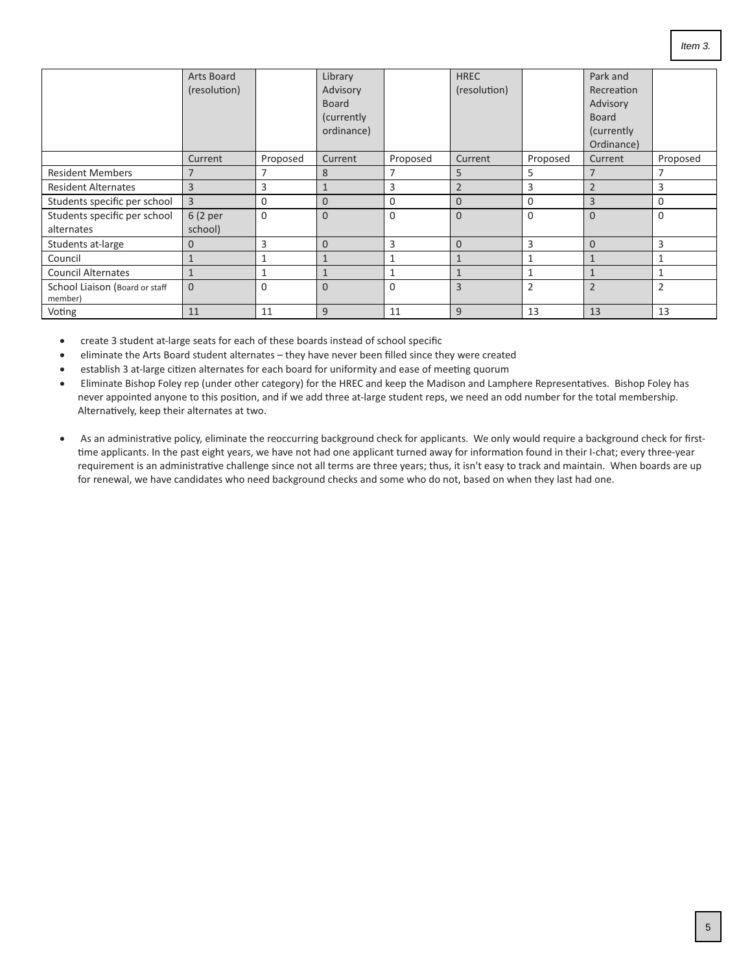<span id="page-4-0"></span>

|                                           | Arts Board   |             | Library        |          | <b>HREC</b>    |                | Park and       |          |
|-------------------------------------------|--------------|-------------|----------------|----------|----------------|----------------|----------------|----------|
|                                           | (resolution) |             | Advisory       |          | (resolution)   |                | Recreation     |          |
|                                           |              |             | <b>Board</b>   |          |                |                | Advisory       |          |
|                                           |              |             | (currently)    |          |                |                | <b>Board</b>   |          |
|                                           |              |             | ordinance)     |          |                |                | (currently)    |          |
|                                           |              |             |                |          |                |                | Ordinance)     |          |
|                                           | Current      | Proposed    | Current        | Proposed | Current        | Proposed       | Current        | Proposed |
| <b>Resident Members</b>                   | 7            | 7           | 8              |          | 5              | 5              |                |          |
| <b>Resident Alternates</b>                | 3            | 3           |                | 3        | $\overline{2}$ | 3              | $\overline{2}$ | 3        |
| Students specific per school              | 3            | 0           | $\Omega$       | 0        | $\overline{0}$ | $\Omega$       | 3              | 0        |
| Students specific per school              | 6 (2 per     | $\mathbf 0$ | $\Omega$       | 0        | $\Omega$       | $\Omega$       | $\Omega$       | $\Omega$ |
| alternates                                | school)      |             |                |          |                |                |                |          |
| Students at-large                         | $\mathbf{0}$ | 3           | $\Omega$       | 3        | $\overline{0}$ | 3              | $\Omega$       | 3        |
| Council                                   | $\mathbf{1}$ | 1           | $\mathbf{1}$   |          | $\mathbf{1}$   | 1              | $\mathbf{1}$   |          |
| <b>Council Alternates</b>                 | $\mathbf{1}$ | 1           |                |          | $\mathbf{1}$   | 1              | $\mathbf{1}$   |          |
| School Liaison (Board or staff<br>member) | $\mathbf{0}$ | 0           | $\overline{0}$ | 0        | 3              | $\overline{2}$ | $\overline{2}$ | 2        |
| Voting                                    | 11           | 11          | 9              | 11       | 9              | 13             | 13             | 13       |

· create 3 student at-large seats for each of these boards instead of school specific

- · eliminate the Arts Board student alternates they have never been filled since they were created
- · establish 3 at-large citizen alternates for each board for uniformity and ease of meeting quorum
- · Eliminate Bishop Foley rep (under other category) for the HREC and keep the Madison and Lamphere Representatives. Bishop Foley has never appointed anyone to this position, and if we add three at-large student reps, we need an odd number for the total membership. Alternatively, keep their alternates at two.
- · As an administrative policy, eliminate the reoccurring background check for applicants. We only would require a background check for first time applicants. In the past eight years, we have not had one applicant turned away for information found in their I-chat; every three-year requirement is an administrative challenge since not all terms are three years; thus, it isn't easy to track and maintain. When boards are up for renewal, we have candidates who need background checks and some who do not, based on when they last had one.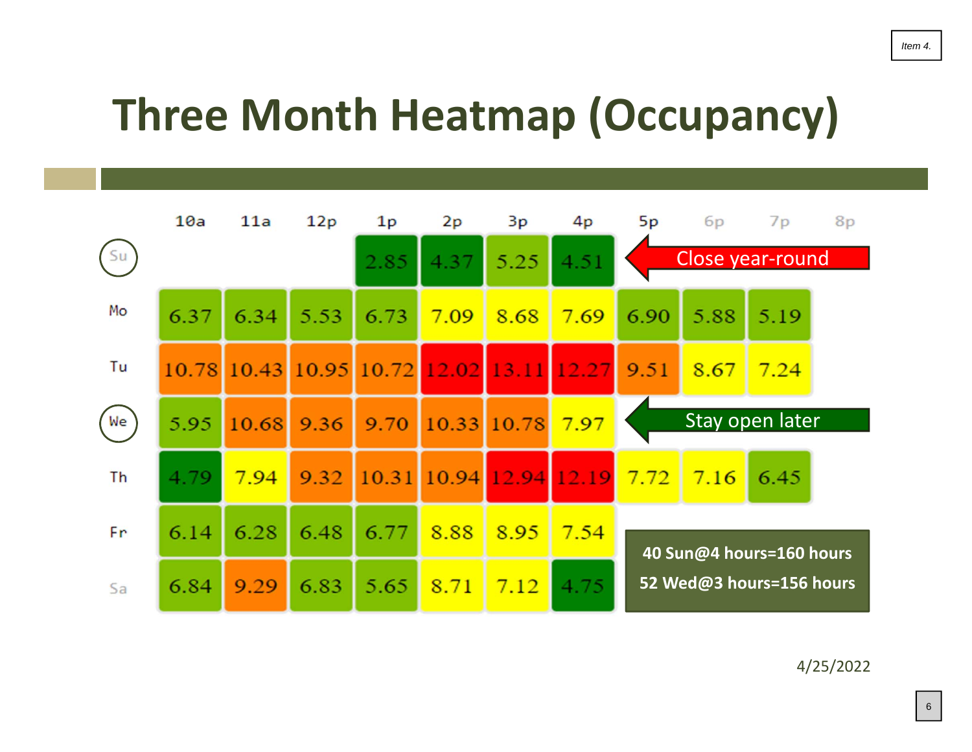# <span id="page-5-0"></span>**Three Month Heatmap (Occupancy)**



4/25/2022